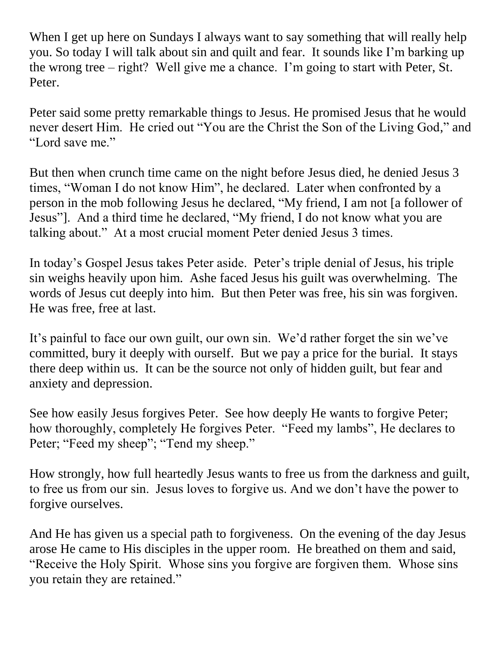When I get up here on Sundays I always want to say something that will really help you. So today I will talk about sin and quilt and fear. It sounds like I'm barking up the wrong tree – right? Well give me a chance. I'm going to start with Peter, St. Peter.

Peter said some pretty remarkable things to Jesus. He promised Jesus that he would never desert Him. He cried out "You are the Christ the Son of the Living God," and "Lord save me."

But then when crunch time came on the night before Jesus died, he denied Jesus 3 times, "Woman I do not know Him", he declared. Later when confronted by a person in the mob following Jesus he declared, "My friend, I am not [a follower of Jesus"]. And a third time he declared, "My friend, I do not know what you are talking about." At a most crucial moment Peter denied Jesus 3 times.

In today's Gospel Jesus takes Peter aside. Peter's triple denial of Jesus, his triple sin weighs heavily upon him. Ashe faced Jesus his guilt was overwhelming. The words of Jesus cut deeply into him. But then Peter was free, his sin was forgiven. He was free, free at last.

It's painful to face our own guilt, our own sin. We'd rather forget the sin we've committed, bury it deeply with ourself. But we pay a price for the burial. It stays there deep within us. It can be the source not only of hidden guilt, but fear and anxiety and depression.

See how easily Jesus forgives Peter. See how deeply He wants to forgive Peter; how thoroughly, completely He forgives Peter. "Feed my lambs", He declares to Peter; "Feed my sheep"; "Tend my sheep."

How strongly, how full heartedly Jesus wants to free us from the darkness and guilt, to free us from our sin. Jesus loves to forgive us. And we don't have the power to forgive ourselves.

And He has given us a special path to forgiveness. On the evening of the day Jesus arose He came to His disciples in the upper room. He breathed on them and said, "Receive the Holy Spirit. Whose sins you forgive are forgiven them. Whose sins you retain they are retained."